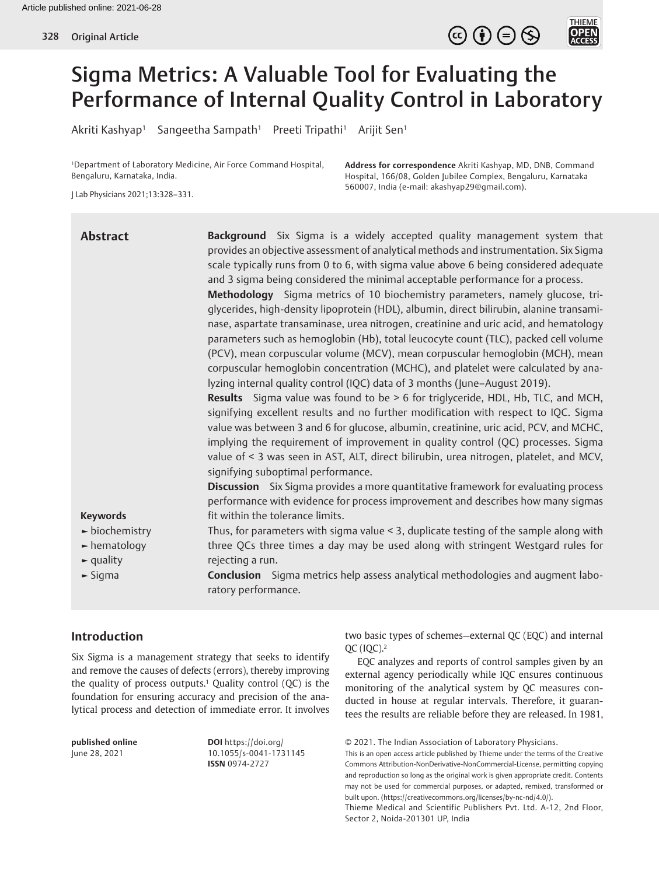

# Sigma Metrics: A Valuable Tool for Evaluating the Performance of Internal Quality Control in Laboratory

Akriti Kashyap<sup>1</sup> Sangeetha Sampath<sup>1</sup> Preeti Tripathi<sup>1</sup> Arijit Sen<sup>1</sup>

1 Department of Laboratory Medicine, Air Force Command Hospital, Bengaluru, Karnataka, India.

**Address for correspondence** Akriti Kashyap, MD, DNB, Command Hospital, 166/08, Golden Jubilee Complex, Bengaluru, Karnataka 560007, India (e-mail: akashyap29@gmail.com).

J Lab Physicians 2021;13:328–331.

| <b>Abstract</b>                                                                                         | Background Six Sigma is a widely accepted quality management system that<br>provides an objective assessment of analytical methods and instrumentation. Six Sigma<br>scale typically runs from 0 to 6, with sigma value above 6 being considered adequate<br>and 3 sigma being considered the minimal acceptable performance for a process.<br>Methodology Sigma metrics of 10 biochemistry parameters, namely glucose, tri-<br>glycerides, high-density lipoprotein (HDL), albumin, direct bilirubin, alanine transami-<br>nase, aspartate transaminase, urea nitrogen, creatinine and uric acid, and hematology<br>parameters such as hemoglobin (Hb), total leucocyte count (TLC), packed cell volume<br>(PCV), mean corpuscular volume (MCV), mean corpuscular hemoglobin (MCH), mean<br>corpuscular hemoglobin concentration (MCHC), and platelet were calculated by ana-<br>lyzing internal quality control (IQC) data of 3 months (June-August 2019).<br>Results Sigma value was found to be > 6 for triglyceride, HDL, Hb, TLC, and MCH,<br>signifying excellent results and no further modification with respect to IQC. Sigma<br>value was between 3 and 6 for glucose, albumin, creatinine, uric acid, PCV, and MCHC,<br>implying the requirement of improvement in quality control (QC) processes. Sigma<br>value of < 3 was seen in AST, ALT, direct bilirubin, urea nitrogen, platelet, and MCV,<br>signifying suboptimal performance. |
|---------------------------------------------------------------------------------------------------------|------------------------------------------------------------------------------------------------------------------------------------------------------------------------------------------------------------------------------------------------------------------------------------------------------------------------------------------------------------------------------------------------------------------------------------------------------------------------------------------------------------------------------------------------------------------------------------------------------------------------------------------------------------------------------------------------------------------------------------------------------------------------------------------------------------------------------------------------------------------------------------------------------------------------------------------------------------------------------------------------------------------------------------------------------------------------------------------------------------------------------------------------------------------------------------------------------------------------------------------------------------------------------------------------------------------------------------------------------------------------------------------------------------------------------------------------------|
| <b>Keywords</b>                                                                                         | <b>Discussion</b> Six Sigma provides a more quantitative framework for evaluating process<br>performance with evidence for process improvement and describes how many sigmas<br>fit within the tolerance limits.                                                                                                                                                                                                                                                                                                                                                                                                                                                                                                                                                                                                                                                                                                                                                                                                                                                                                                                                                                                                                                                                                                                                                                                                                                     |
| $\blacktriangleright$ biochemistry<br>$\blacktriangleright$ hematology<br>$\blacktriangleright$ quality | Thus, for parameters with sigma value $\leq$ 3, duplicate testing of the sample along with<br>three QCs three times a day may be used along with stringent Westgard rules for<br>rejecting a run.                                                                                                                                                                                                                                                                                                                                                                                                                                                                                                                                                                                                                                                                                                                                                                                                                                                                                                                                                                                                                                                                                                                                                                                                                                                    |
| $\blacktriangleright$ Sigma                                                                             | Conclusion Sigma metrics help assess analytical methodologies and augment labo-<br>ratory performance.                                                                                                                                                                                                                                                                                                                                                                                                                                                                                                                                                                                                                                                                                                                                                                                                                                                                                                                                                                                                                                                                                                                                                                                                                                                                                                                                               |

# **Introduction**

Six Sigma is a management strategy that seeks to identify and remove the causes of defects (errors), thereby improving the quality of process outputs.<sup>1</sup> Quality control  $(QC)$  is the foundation for ensuring accuracy and precision of the analytical process and detection of immediate error. It involves

**published online** June 28, 2021

**DOI** https://doi.org/ 10.1055/s-0041-1731145 **ISSN** 0974-2727

two basic types of schemes—external QC (EQC) and internal QC (IQC).2

EQC analyzes and reports of control samples given by an external agency periodically while IQC ensures continuous monitoring of the analytical system by QC measures conducted in house at regular intervals. Therefore, it guarantees the results are reliable before they are released. In 1981,

© 2021. The Indian Association of Laboratory Physicians.

This is an open access article published by Thieme under the terms of the Creative Commons Attribution-NonDerivative-NonCommercial-License, permitting copying and reproduction so long as the original work is given appropriate credit. Contents may not be used for commercial purposes, or adapted, remixed, transformed or built upon. (https://creativecommons.org/licenses/by-nc-nd/4.0/).

Thieme Medical and Scientific Publishers Pvt. Ltd. A-12, 2nd Floor, Sector 2, Noida-201301 UP, India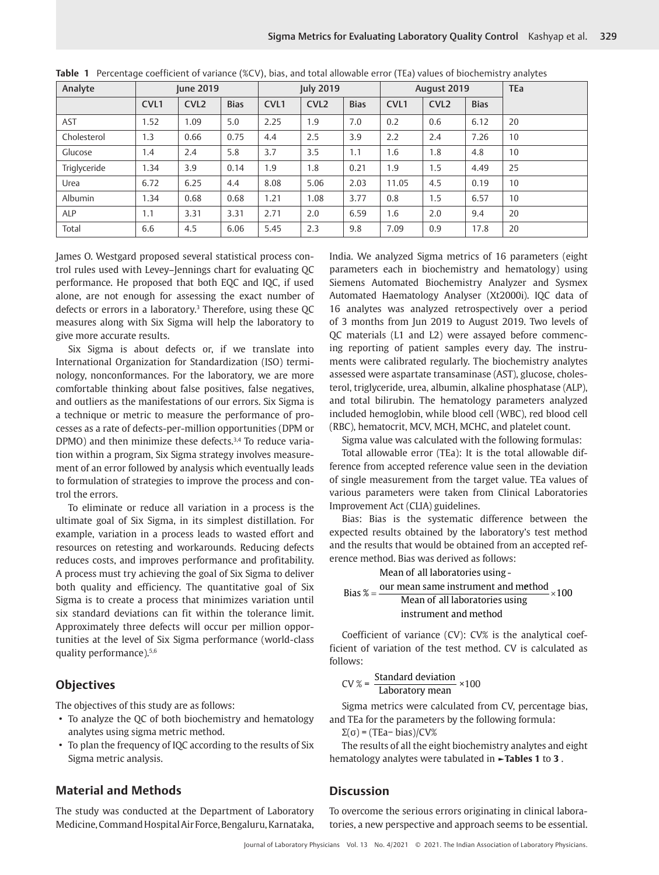| Analyte      | <b>June 2019</b> |                  |             | <b>July 2019</b> |                  |             | August 2019      |                  |             | <b>TEa</b> |
|--------------|------------------|------------------|-------------|------------------|------------------|-------------|------------------|------------------|-------------|------------|
|              | CVL <sub>1</sub> | CVL <sub>2</sub> | <b>Bias</b> | CVL <sub>1</sub> | CVL <sub>2</sub> | <b>Bias</b> | CVL <sub>1</sub> | CVL <sub>2</sub> | <b>Bias</b> |            |
| <b>AST</b>   | 1.52             | 1.09             | 5.0         | 2.25             | 1.9              | 7.0         | 0.2              | 0.6              | 6.12        | 20         |
| Cholesterol  | 1.3              | 0.66             | 0.75        | 4.4              | 2.5              | 3.9         | 2.2              | 2.4              | 7.26        | 10         |
| Glucose      | 1.4              | 2.4              | 5.8         | 3.7              | 3.5              | 1.1         | 1.6              | 1.8              | 4.8         | 10         |
| Triglyceride | 1.34             | 3.9              | 0.14        | 1.9              | 1.8              | 0.21        | 1.9              | 1.5              | 4.49        | 25         |
| Urea         | 6.72             | 6.25             | 4.4         | 8.08             | 5.06             | 2.03        | 11.05            | 4.5              | 0.19        | 10         |
| Albumin      | 1.34             | 0.68             | 0.68        | 1.21             | 1.08             | 3.77        | 0.8              | 1.5              | 6.57        | 10         |
| ALP          | 1.1              | 3.31             | 3.31        | 2.71             | 2.0              | 6.59        | 1.6              | 2.0              | 9.4         | 20         |
| Total        | 6.6              | 4.5              | 6.06        | 5.45             | 2.3              | 9.8         | 7.09             | 0.9              | 17.8        | 20         |

|  |  |  |  |  |  | Table 1 Percentage coefficient of variance (%CV), bias, and total allowable error (TEa) values of biochemistry analytes |
|--|--|--|--|--|--|-------------------------------------------------------------------------------------------------------------------------|
|--|--|--|--|--|--|-------------------------------------------------------------------------------------------------------------------------|

James O. Westgard proposed several statistical process control rules used with Levey–Jennings chart for evaluating QC performance. He proposed that both EQC and IQC, if used alone, are not enough for assessing the exact number of defects or errors in a laboratory.<sup>3</sup> Therefore, using these QC measures along with Six Sigma will help the laboratory to give more accurate results.

Six Sigma is about defects or, if we translate into International Organization for Standardization (ISO) terminology, nonconformances. For the laboratory, we are more comfortable thinking about false positives, false negatives, and outliers as the manifestations of our errors. Six Sigma is a technique or metric to measure the performance of processes as a rate of defects-per-million opportunities (DPM or DPMO) and then minimize these defects.<sup>3,4</sup> To reduce variation within a program, Six Sigma strategy involves measurement of an error followed by analysis which eventually leads to formulation of strategies to improve the process and control the errors.

To eliminate or reduce all variation in a process is the ultimate goal of Six Sigma, in its simplest distillation. For example, variation in a process leads to wasted effort and resources on retesting and workarounds. Reducing defects reduces costs, and improves performance and profitability. A process must try achieving the goal of Six Sigma to deliver both quality and efficiency. The quantitative goal of Six Sigma is to create a process that minimizes variation until six standard deviations can fit within the tolerance limit. Approximately three defects will occur per million opportunities at the level of Six Sigma performance (world-class quality performance).5,6

#### **Objectives**

The objectives of this study are as follows:

- To analyze the QC of both biochemistry and hematology analytes using sigma metric method.
- To plan the frequency of IQC according to the results of Six Sigma metric analysis.

#### **Material and Methods**

The study was conducted at the Department of Laboratory Medicine, Command Hospital Air Force, Bengaluru, Karnataka, India. We analyzed Sigma metrics of 16 parameters (eight parameters each in biochemistry and hematology) using Siemens Automated Biochemistry Analyzer and Sysmex Automated Haematology Analyser (Xt2000i). IQC data of 16 analytes was analyzed retrospectively over a period of 3 months from Jun 2019 to August 2019. Two levels of QC materials (L1 and L2) were assayed before commencing reporting of patient samples every day. The instruments were calibrated regularly. The biochemistry analytes assessed were aspartate transaminase (AST), glucose, cholesterol, triglyceride, urea, albumin, alkaline phosphatase (ALP), and total bilirubin. The hematology parameters analyzed included hemoglobin, while blood cell (WBC), red blood cell (RBC), hematocrit, MCV, MCH, MCHC, and platelet count.

Sigma value was calculated with the following formulas:

Total allowable error (TEa): It is the total allowable difference from accepted reference value seen in the deviation of single measurement from the target value. TEa values of various parameters were taken from Clinical Laboratories Improvement Act (CLIA) guidelines.

Bias: Bias is the systematic difference between the expected results obtained by the laboratory's test method and the results that would be obtained from an accepted reference method. Bias was derived as follows:

Bias  $\% = \frac{\text{our mean same instrument and method}}{\text{num of 100}} \times 100$ Mean of all laboratories using - Mean of all laboratories using instrument and method

Coefficient of variance (CV): CV% is the analytical coefficient of variation of the test method. CV is calculated as follows:

$$
CV % = \frac{Standard deviation}{ Laboratory mean} \times 100
$$

Sigma metrics were calculated from CV, percentage bias, and TEa for the parameters by the following formula:

Σ(σ) = (TEa− bias)/CV%

The results of all the eight biochemistry analytes and eight hematology analytes were tabulated in **►Tables 1** to **3** .

# **Discussion**

To overcome the serious errors originating in clinical laboratories, a new perspective and approach seems to be essential.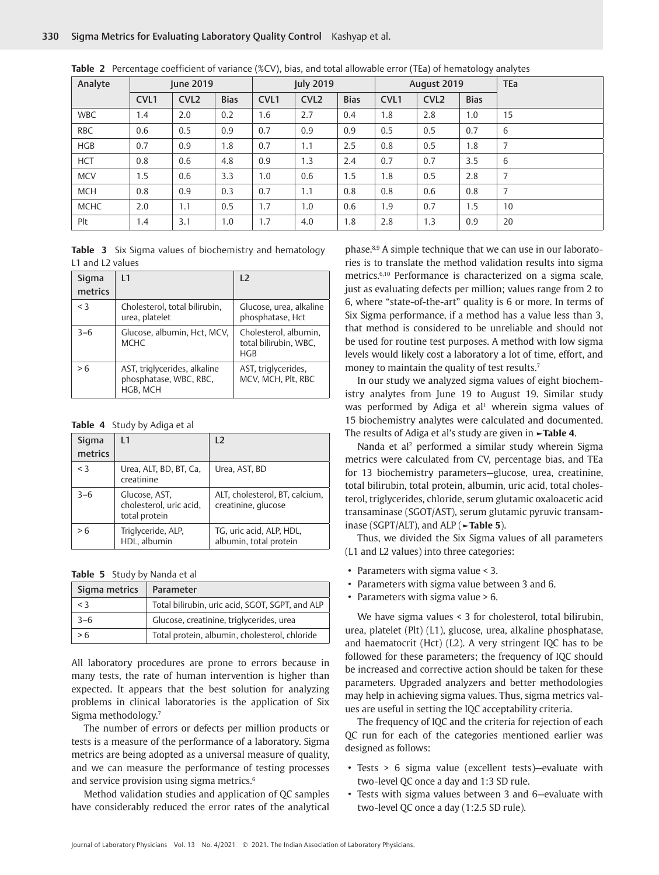| Analyte     |                  | June 2019        |             | <b>July 2019</b> |                  |             | August 2019      |                  |             | <b>TEa</b> |
|-------------|------------------|------------------|-------------|------------------|------------------|-------------|------------------|------------------|-------------|------------|
|             | CVL <sub>1</sub> | CVL <sub>2</sub> | <b>Bias</b> | CVL <sub>1</sub> | CVL <sub>2</sub> | <b>Bias</b> | CVL <sub>1</sub> | CVL <sub>2</sub> | <b>Bias</b> |            |
| <b>WBC</b>  | 1.4              | 2.0              | 0.2         | 1.6              | 2.7              | 0.4         | 1.8              | 2.8              | 1.0         | 15         |
| <b>RBC</b>  | 0.6              | 0.5              | 0.9         | 0.7              | 0.9              | 0.9         | 0.5              | 0.5              | 0.7         | 6          |
| <b>HGB</b>  | 0.7              | 0.9              | 1.8         | 0.7              | 1.1              | 2.5         | 0.8              | 0.5              | 1.8         | 7          |
| <b>HCT</b>  | 0.8              | 0.6              | 4.8         | 0.9              | 1.3              | 2.4         | 0.7              | 0.7              | 3.5         | 6          |
| <b>MCV</b>  | 1.5              | 0.6              | 3.3         | 1.0              | 0.6              | 1.5         | 1.8              | 0.5              | 2.8         | 7          |
| <b>MCH</b>  | 0.8              | 0.9              | 0.3         | 0.7              | 1.1              | 0.8         | 0.8              | 0.6              | 0.8         | 7          |
| <b>MCHC</b> | 2.0              | 1.1              | 0.5         | 1.7              | 1.0              | 0.6         | 1.9              | 0.7              | 1.5         | 10         |
| Plt         | 1.4              | 3.1              | 1.0         | 1.7              | 4.0              | 1.8         | 2.8              | 1.3              | 0.9         | 20         |

|  |  | <b>Table 2</b> Percentage coefficient of variance (%CV), bias, and total allowable error (TEa) of hematology analytes |
|--|--|-----------------------------------------------------------------------------------------------------------------------|
|  |  |                                                                                                                       |

|  |                  |  | Table 3 Six Sigma values of biochemistry and hematology |  |
|--|------------------|--|---------------------------------------------------------|--|
|  | L1 and L2 values |  |                                                         |  |

| Sigma<br>metrics | $\overline{11}$                                                    | 12                                                    |
|------------------|--------------------------------------------------------------------|-------------------------------------------------------|
| $<$ 3            | Cholesterol, total bilirubin,<br>urea, platelet                    | Glucose, urea, alkaline<br>phosphatase, Hct           |
| $3 - 6$          | Glucose, albumin, Hct, MCV,<br><b>MCHC</b>                         | Cholesterol, albumin,<br>total bilirubin, WBC,<br>HGB |
| > 6              | AST, triglycerides, alkaline<br>phosphatase, WBC, RBC,<br>HGB, MCH | AST, triglycerides,<br>MCV, MCH, Plt, RBC             |

**Table 4** Study by Adiga et al

| Sigma<br>metrics | I 1                                                       | 12                                                    |
|------------------|-----------------------------------------------------------|-------------------------------------------------------|
| $<$ 3            | Urea, ALT, BD, BT, Ca,<br>creatinine                      | Urea, AST, BD                                         |
| $3 - 6$          | Glucose, AST,<br>cholesterol, uric acid,<br>total protein | ALT, cholesterol, BT, calcium,<br>creatinine, glucose |
| > 6              | Triglyceride, ALP,<br>HDL, albumin                        | TG, uric acid, ALP, HDL,<br>albumin, total protein    |

**Table 5** Study by Nanda et al

| Sigma metrics | Parameter                                       |
|---------------|-------------------------------------------------|
| $<$ 3         | Total bilirubin, uric acid, SGOT, SGPT, and ALP |
| $3 - 6$       | Glucose, creatinine, triglycerides, urea        |
| > 6           | Total protein, albumin, cholesterol, chloride   |

All laboratory procedures are prone to errors because in many tests, the rate of human intervention is higher than expected. It appears that the best solution for analyzing problems in clinical laboratories is the application of Six Sigma methodology.7

The number of errors or defects per million products or tests is a measure of the performance of a laboratory. Sigma metrics are being adopted as a universal measure of quality, and we can measure the performance of testing processes and service provision using sigma metrics.<sup>6</sup>

Method validation studies and application of QC samples have considerably reduced the error rates of the analytical

phase.8,9 A simple technique that we can use in our laboratories is to translate the method validation results into sigma metrics.6,10 Performance is characterized on a sigma scale, just as evaluating defects per million; values range from 2 to 6, where "state-of-the-art" quality is 6 or more. In terms of Six Sigma performance, if a method has a value less than 3, that method is considered to be unreliable and should not be used for routine test purposes. A method with low sigma levels would likely cost a laboratory a lot of time, effort, and money to maintain the quality of test results.7

In our study we analyzed sigma values of eight biochemistry analytes from June 19 to August 19. Similar study was performed by Adiga et al<sup>1</sup> wherein sigma values of 15 biochemistry analytes were calculated and documented. The results of Adiga et al's study are given in **►Table 4**.

Nanda et al<sup>2</sup> performed a similar study wherein Sigma metrics were calculated from CV, percentage bias, and TEa for 13 biochemistry parameters—glucose, urea, creatinine, total bilirubin, total protein, albumin, uric acid, total cholesterol, triglycerides, chloride, serum glutamic oxaloacetic acid transaminase (SGOT/AST), serum glutamic pyruvic transaminase (SGPT/ALT), and ALP (**►Table 5**).

Thus, we divided the Six Sigma values of all parameters (L1 and L2 values) into three categories:

- Parameters with sigma value < 3.
- Parameters with sigma value between 3 and 6.
- Parameters with sigma value > 6.

We have sigma values < 3 for cholesterol, total bilirubin, urea, platelet (Plt) (L1), glucose, urea, alkaline phosphatase, and haematocrit (Hct) (L2). A very stringent IQC has to be followed for these parameters; the frequency of IQC should be increased and corrective action should be taken for these parameters. Upgraded analyzers and better methodologies may help in achieving sigma values. Thus, sigma metrics values are useful in setting the IQC acceptability criteria.

The frequency of IQC and the criteria for rejection of each QC run for each of the categories mentioned earlier was designed as follows:

- Tests > 6 sigma value (excellent tests)—evaluate with two-level QC once a day and 1:3 SD rule.
- Tests with sigma values between 3 and 6—evaluate with two-level QC once a day (1:2.5 SD rule).